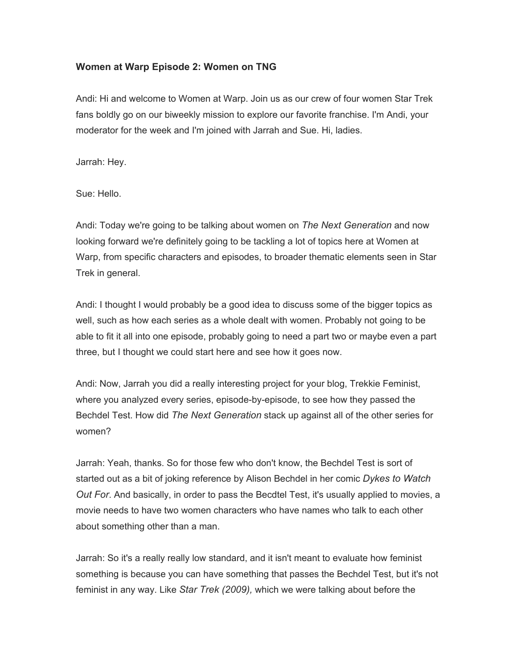## **Women at Warp Episode 2: Women on TNG**

Andi: Hi and welcome to Women at Warp. Join us as our crew of four women Star Trek fans boldly go on our biweekly mission to explore our favorite franchise. I'm Andi, your moderator for the week and I'm joined with Jarrah and Sue. Hi, ladies.

Jarrah: Hey.

Sue: Hello.

Andi: Today we're going to be talking about women on *The Next Generation* and now looking forward we're definitely going to be tackling a lot of topics here at Women at Warp, from specific characters and episodes, to broader thematic elements seen in Star Trek in general.

Andi: I thought I would probably be a good idea to discuss some of the bigger topics as well, such as how each series as a whole dealt with women. Probably not going to be able to fit it all into one episode, probably going to need a part two or maybe even a part three, but I thought we could start here and see how it goes now.

Andi: Now, Jarrah you did a really interesting project for your blog, Trekkie Feminist, where you analyzed every series, episode-by-episode, to see how they passed the Bechdel Test. How did *The Next Generation* stack up against all of the other series for women?

Jarrah: Yeah, thanks. So for those few who don't know, the Bechdel Test is sort of started out as a bit of joking reference by Alison Bechdel in her comic *Dykes to Watch Out For*. And basically, in order to pass the Becdtel Test, it's usually applied to movies, a movie needs to have two women characters who have names who talk to each other about something other than a man.

Jarrah: So it's a really really low standard, and it isn't meant to evaluate how feminist something is because you can have something that passes the Bechdel Test, but it's not feminist in any way. Like *Star Trek (2009),* which we were talking about before the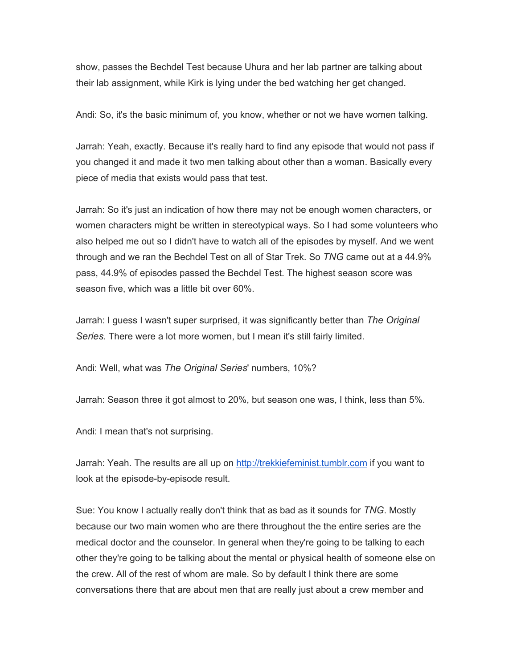show, passes the Bechdel Test because Uhura and her lab partner are talking about their lab assignment, while Kirk is lying under the bed watching her get changed.

Andi: So, it's the basic minimum of, you know, whether or not we have women talking.

Jarrah: Yeah, exactly. Because it's really hard to find any episode that would not pass if you changed it and made it two men talking about other than a woman. Basically every piece of media that exists would pass that test.

Jarrah: So it's just an indication of how there may not be enough women characters, or women characters might be written in stereotypical ways. So I had some volunteers who also helped me out so I didn't have to watch all of the episodes by myself. And we went through and we ran the Bechdel Test on all of Star Trek. So *TNG* came out at a 44.9% pass, 44.9% of episodes passed the Bechdel Test. The highest season score was season five, which was a little bit over 60%.

Jarrah: I guess I wasn't super surprised, it was significantly better than *The Original Series*. There were a lot more women, but I mean it's still fairly limited.

Andi: Well, what was *The Original Series*' numbers, 10%?

Jarrah: Season three it got almost to 20%, but season one was, I think, less than 5%.

Andi: I mean that's not surprising.

Jarrah: Yeah. The results are all up on [http://trekkiefeminist.tumblr.com](http://trekkiefeminist.tumblr.com/) if you want to look at the episode-by-episode result.

Sue: You know I actually really don't think that as bad as it sounds for *TNG*. Mostly because our two main women who are there throughout the the entire series are the medical doctor and the counselor. In general when they're going to be talking to each other they're going to be talking about the mental or physical health of someone else on the crew. All of the rest of whom are male. So by default I think there are some conversations there that are about men that are really just about a crew member and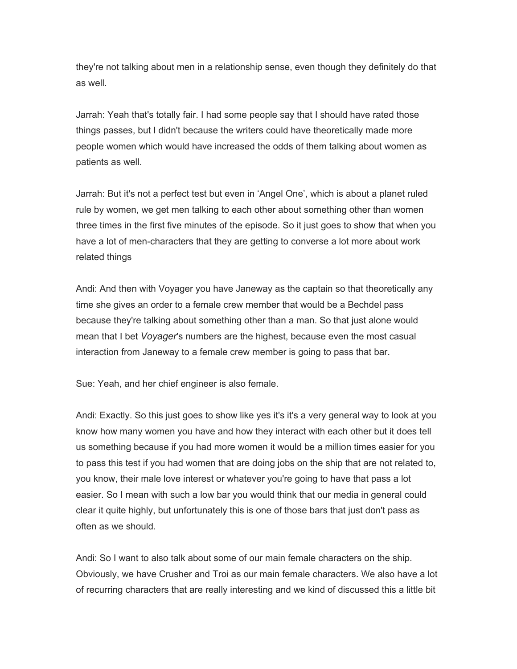they're not talking about men in a relationship sense, even though they definitely do that as well.

Jarrah: Yeah that's totally fair. I had some people say that I should have rated those things passes, but I didn't because the writers could have theoretically made more people women which would have increased the odds of them talking about women as patients as well.

Jarrah: But it's not a perfect test but even in 'Angel One', which is about a planet ruled rule by women, we get men talking to each other about something other than women three times in the first five minutes of the episode. So it just goes to show that when you have a lot of men-characters that they are getting to converse a lot more about work related things

Andi: And then with Voyager you have Janeway as the captain so that theoretically any time she gives an order to a female crew member that would be a Bechdel pass because they're talking about something other than a man. So that just alone would mean that I bet *Voyager*'s numbers are the highest, because even the most casual interaction from Janeway to a female crew member is going to pass that bar.

Sue: Yeah, and her chief engineer is also female.

Andi: Exactly. So this just goes to show like yes it's it's a very general way to look at you know how many women you have and how they interact with each other but it does tell us something because if you had more women it would be a million times easier for you to pass this test if you had women that are doing jobs on the ship that are not related to, you know, their male love interest or whatever you're going to have that pass a lot easier. So I mean with such a low bar you would think that our media in general could clear it quite highly, but unfortunately this is one of those bars that just don't pass as often as we should.

Andi: So I want to also talk about some of our main female characters on the ship. Obviously, we have Crusher and Troi as our main female characters. We also have a lot of recurring characters that are really interesting and we kind of discussed this a little bit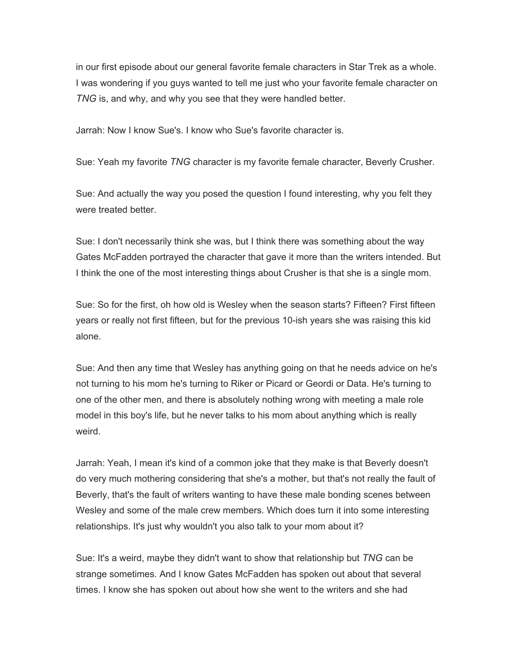in our first episode about our general favorite female characters in Star Trek as a whole. I was wondering if you guys wanted to tell me just who your favorite female character on *TNG* is, and why, and why you see that they were handled better.

Jarrah: Now I know Sue's. I know who Sue's favorite character is.

Sue: Yeah my favorite *TNG* character is my favorite female character, Beverly Crusher.

Sue: And actually the way you posed the question I found interesting, why you felt they were treated better.

Sue: I don't necessarily think she was, but I think there was something about the way Gates McFadden portrayed the character that gave it more than the writers intended. But I think the one of the most interesting things about Crusher is that she is a single mom.

Sue: So for the first, oh how old is Wesley when the season starts? Fifteen? First fifteen years or really not first fifteen, but for the previous 10-ish years she was raising this kid alone.

Sue: And then any time that Wesley has anything going on that he needs advice on he's not turning to his mom he's turning to Riker or Picard or Geordi or Data. He's turning to one of the other men, and there is absolutely nothing wrong with meeting a male role model in this boy's life, but he never talks to his mom about anything which is really weird.

Jarrah: Yeah, I mean it's kind of a common joke that they make is that Beverly doesn't do very much mothering considering that she's a mother, but that's not really the fault of Beverly, that's the fault of writers wanting to have these male bonding scenes between Wesley and some of the male crew members. Which does turn it into some interesting relationships. It's just why wouldn't you also talk to your mom about it?

Sue: It's a weird, maybe they didn't want to show that relationship but *TNG* can be strange sometimes. And I know Gates McFadden has spoken out about that several times. I know she has spoken out about how she went to the writers and she had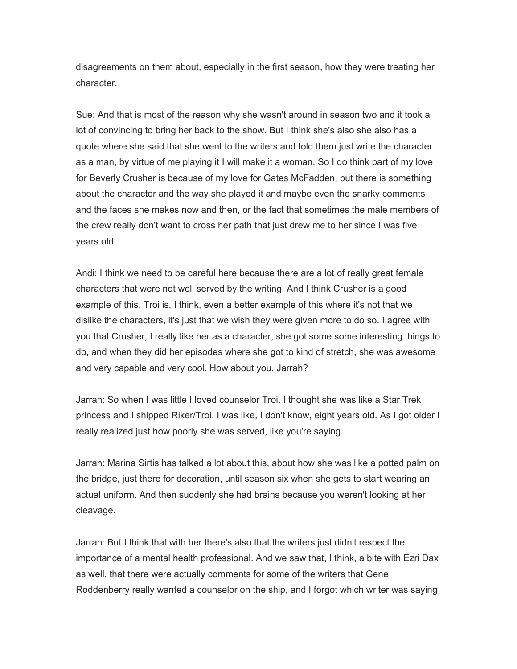disagreements on them about, especially in the first season, how they were treating her character.

Sue: And that is most of the reason why she wasn't around in season two and it took a lot of convincing to bring her back to the show. But I think she's also she also has a quote where she said that she went to the writers and told them just write the character as a man, by virtue of me playing it I will make it a woman. So I do think part of my love for Beverly Crusher is because of my love for Gates McFadden, but there is something about the character and the way she played it and maybe even the snarky comments and the faces she makes now and then, or the fact that sometimes the male members of the crew really don't want to cross her path that just drew me to her since I was five years old.

Andi: I think we need to be careful here because there are a lot of really great female characters that were not well served by the writing. And I think Crusher is a good example of this, Troi is, I think, even a better example of this where it's not that we dislike the characters, it's just that we wish they were given more to do so. I agree with you that Crusher, I really like her as a character, she got some some interesting things to do, and when they did her episodes where she got to kind of stretch, she was awesome and very capable and very cool. How about you, Jarrah?

Jarrah: So when I was little I loved counselor Troi. I thought she was like a Star Trek princess and I shipped Riker/Troi. I was like, I don't know, eight years old. As I got older I really realized just how poorly she was served, like you're saying.

Jarrah: Marina Sirtis has talked a lot about this, about how she was like a potted palm on the bridge, just there for decoration, until season six when she gets to start wearing an actual uniform. And then suddenly she had brains because you weren't looking at her cleavage.

Jarrah: But I think that with her there's also that the writers just didn't respect the importance of a mental health professional. And we saw that, I think, a bite with Ezri Dax as well, that there were actually comments for some of the writers that Gene Roddenberry really wanted a counselor on the ship, and I forgot which writer was saying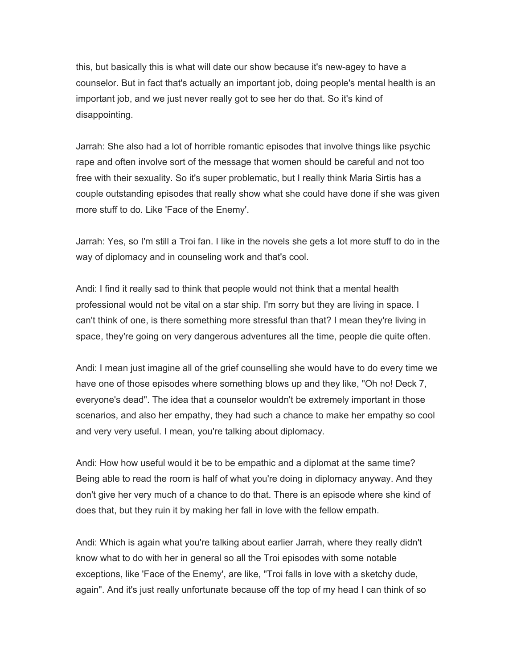this, but basically this is what will date our show because it's new-agey to have a counselor. But in fact that's actually an important job, doing people's mental health is an important job, and we just never really got to see her do that. So it's kind of disappointing.

Jarrah: She also had a lot of horrible romantic episodes that involve things like psychic rape and often involve sort of the message that women should be careful and not too free with their sexuality. So it's super problematic, but I really think Maria Sirtis has a couple outstanding episodes that really show what she could have done if she was given more stuff to do. Like 'Face of the Enemy'.

Jarrah: Yes, so I'm still a Troi fan. I like in the novels she gets a lot more stuff to do in the way of diplomacy and in counseling work and that's cool.

Andi: I find it really sad to think that people would not think that a mental health professional would not be vital on a star ship. I'm sorry but they are living in space. I can't think of one, is there something more stressful than that? I mean they're living in space, they're going on very dangerous adventures all the time, people die quite often.

Andi: I mean just imagine all of the grief counselling she would have to do every time we have one of those episodes where something blows up and they like, "Oh no! Deck 7, everyone's dead". The idea that a counselor wouldn't be extremely important in those scenarios, and also her empathy, they had such a chance to make her empathy so cool and very very useful. I mean, you're talking about diplomacy.

Andi: How how useful would it be to be empathic and a diplomat at the same time? Being able to read the room is half of what you're doing in diplomacy anyway. And they don't give her very much of a chance to do that. There is an episode where she kind of does that, but they ruin it by making her fall in love with the fellow empath.

Andi: Which is again what you're talking about earlier Jarrah, where they really didn't know what to do with her in general so all the Troi episodes with some notable exceptions, like 'Face of the Enemy', are like, "Troi falls in love with a sketchy dude, again". And it's just really unfortunate because off the top of my head I can think of so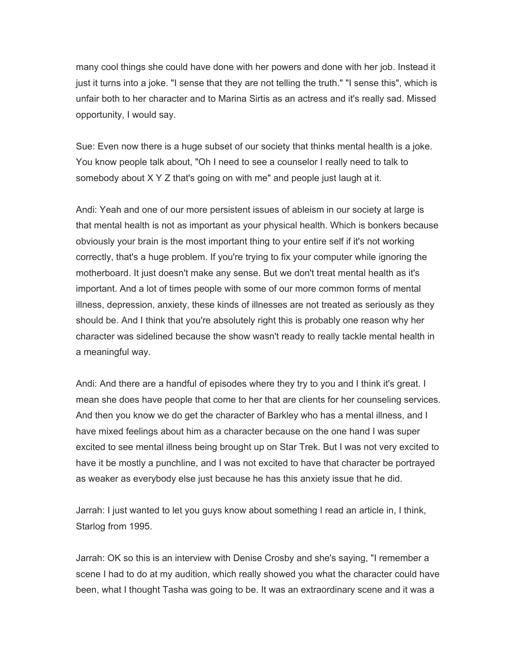many cool things she could have done with her powers and done with her job. Instead it just it turns into a joke. "I sense that they are not telling the truth." "I sense this", which is unfair both to her character and to Marina Sirtis as an actress and it's really sad. Missed opportunity, I would say.

Sue: Even now there is a huge subset of our society that thinks mental health is a joke. You know people talk about, "Oh I need to see a counselor I really need to talk to somebody about X Y Z that's going on with me" and people just laugh at it.

Andi: Yeah and one of our more persistent issues of ableism in our society at large is that mental health is not as important as your physical health. Which is bonkers because obviously your brain is the most important thing to your entire self if it's not working correctly, that's a huge problem. If you're trying to fix your computer while ignoring the motherboard. It just doesn't make any sense. But we don't treat mental health as it's important. And a lot of times people with some of our more common forms of mental illness, depression, anxiety, these kinds of illnesses are not treated as seriously as they should be. And I think that you're absolutely right this is probably one reason why her character was sidelined because the show wasn't ready to really tackle mental health in a meaningful way.

Andi: And there are a handful of episodes where they try to you and I think it's great. I mean she does have people that come to her that are clients for her counseling services. And then you know we do get the character of Barkley who has a mental illness, and I have mixed feelings about him as a character because on the one hand I was super excited to see mental illness being brought up on Star Trek. But I was not very excited to have it be mostly a punchline, and I was not excited to have that character be portrayed as weaker as everybody else just because he has this anxiety issue that he did.

Jarrah: I just wanted to let you guys know about something I read an article in, I think, Starlog from 1995.

Jarrah: OK so this is an interview with Denise Crosby and she's saying, "I remember a scene I had to do at my audition, which really showed you what the character could have been, what I thought Tasha was going to be. It was an extraordinary scene and it was a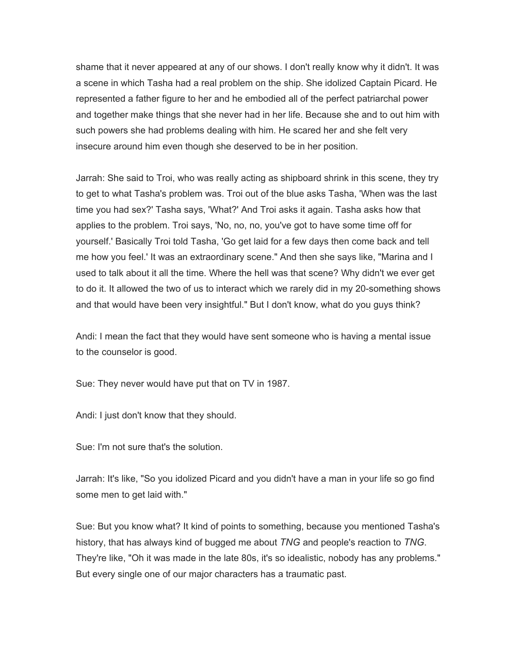shame that it never appeared at any of our shows. I don't really know why it didn't. It was a scene in which Tasha had a real problem on the ship. She idolized Captain Picard. He represented a father figure to her and he embodied all of the perfect patriarchal power and together make things that she never had in her life. Because she and to out him with such powers she had problems dealing with him. He scared her and she felt very insecure around him even though she deserved to be in her position.

Jarrah: She said to Troi, who was really acting as shipboard shrink in this scene, they try to get to what Tasha's problem was. Troi out of the blue asks Tasha, 'When was the last time you had sex?' Tasha says, 'What?' And Troi asks it again. Tasha asks how that applies to the problem. Troi says, 'No, no, no, you've got to have some time off for yourself.' Basically Troi told Tasha, 'Go get laid for a few days then come back and tell me how you feel.' It was an extraordinary scene." And then she says like, "Marina and I used to talk about it all the time. Where the hell was that scene? Why didn't we ever get to do it. It allowed the two of us to interact which we rarely did in my 20-something shows and that would have been very insightful." But I don't know, what do you guys think?

Andi: I mean the fact that they would have sent someone who is having a mental issue to the counselor is good.

Sue: They never would have put that on TV in 1987.

Andi: I just don't know that they should.

Sue: I'm not sure that's the solution.

Jarrah: It's like, "So you idolized Picard and you didn't have a man in your life so go find some men to get laid with."

Sue: But you know what? It kind of points to something, because you mentioned Tasha's history, that has always kind of bugged me about *TNG* and people's reaction to *TNG*. They're like, "Oh it was made in the late 80s, it's so idealistic, nobody has any problems." But every single one of our major characters has a traumatic past.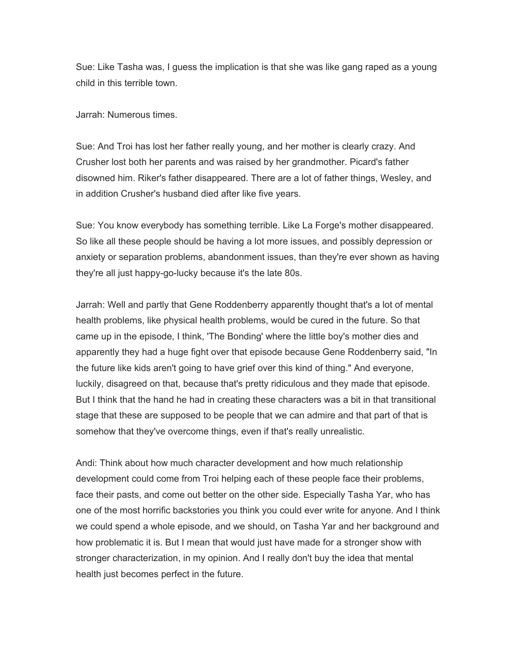Sue: Like Tasha was, I guess the implication is that she was like gang raped as a young child in this terrible town.

Jarrah: Numerous times.

Sue: And Troi has lost her father really young, and her mother is clearly crazy. And Crusher lost both her parents and was raised by her grandmother. Picard's father disowned him. Riker's father disappeared. There are a lot of father things, Wesley, and in addition Crusher's husband died after like five years.

Sue: You know everybody has something terrible. Like La Forge's mother disappeared. So like all these people should be having a lot more issues, and possibly depression or anxiety or separation problems, abandonment issues, than they're ever shown as having they're all just happy-go-lucky because it's the late 80s.

Jarrah: Well and partly that Gene Roddenberry apparently thought that's a lot of mental health problems, like physical health problems, would be cured in the future. So that came up in the episode, I think, 'The Bonding' where the little boy's mother dies and apparently they had a huge fight over that episode because Gene Roddenberry said, "In the future like kids aren't going to have grief over this kind of thing." And everyone, luckily, disagreed on that, because that's pretty ridiculous and they made that episode. But I think that the hand he had in creating these characters was a bit in that transitional stage that these are supposed to be people that we can admire and that part of that is somehow that they've overcome things, even if that's really unrealistic.

Andi: Think about how much character development and how much relationship development could come from Troi helping each of these people face their problems, face their pasts, and come out better on the other side. Especially Tasha Yar, who has one of the most horrific backstories you think you could ever write for anyone. And I think we could spend a whole episode, and we should, on Tasha Yar and her background and how problematic it is. But I mean that would just have made for a stronger show with stronger characterization, in my opinion. And I really don't buy the idea that mental health just becomes perfect in the future.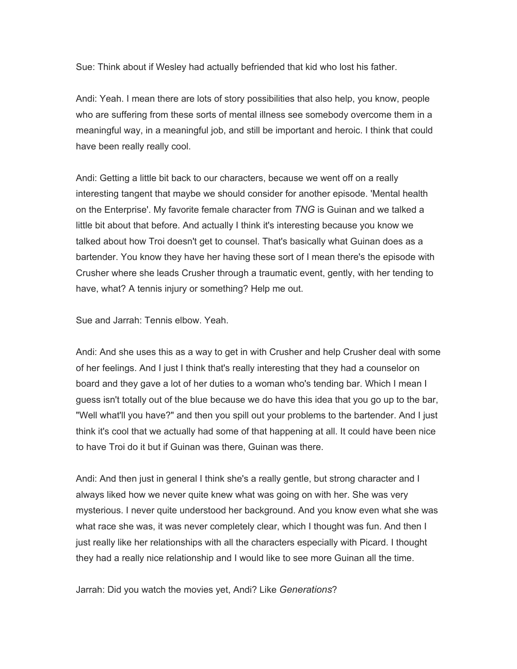Sue: Think about if Wesley had actually befriended that kid who lost his father.

Andi: Yeah. I mean there are lots of story possibilities that also help, you know, people who are suffering from these sorts of mental illness see somebody overcome them in a meaningful way, in a meaningful job, and still be important and heroic. I think that could have been really really cool.

Andi: Getting a little bit back to our characters, because we went off on a really interesting tangent that maybe we should consider for another episode. 'Mental health on the Enterprise'. My favorite female character from *TNG* is Guinan and we talked a little bit about that before. And actually I think it's interesting because you know we talked about how Troi doesn't get to counsel. That's basically what Guinan does as a bartender. You know they have her having these sort of I mean there's the episode with Crusher where she leads Crusher through a traumatic event, gently, with her tending to have, what? A tennis injury or something? Help me out.

Sue and Jarrah: Tennis elbow. Yeah.

Andi: And she uses this as a way to get in with Crusher and help Crusher deal with some of her feelings. And I just I think that's really interesting that they had a counselor on board and they gave a lot of her duties to a woman who's tending bar. Which I mean I guess isn't totally out of the blue because we do have this idea that you go up to the bar, "Well what'll you have?" and then you spill out your problems to the bartender. And I just think it's cool that we actually had some of that happening at all. It could have been nice to have Troi do it but if Guinan was there, Guinan was there.

Andi: And then just in general I think she's a really gentle, but strong character and I always liked how we never quite knew what was going on with her. She was very mysterious. I never quite understood her background. And you know even what she was what race she was, it was never completely clear, which I thought was fun. And then I just really like her relationships with all the characters especially with Picard. I thought they had a really nice relationship and I would like to see more Guinan all the time.

Jarrah: Did you watch the movies yet, Andi? Like *Generations*?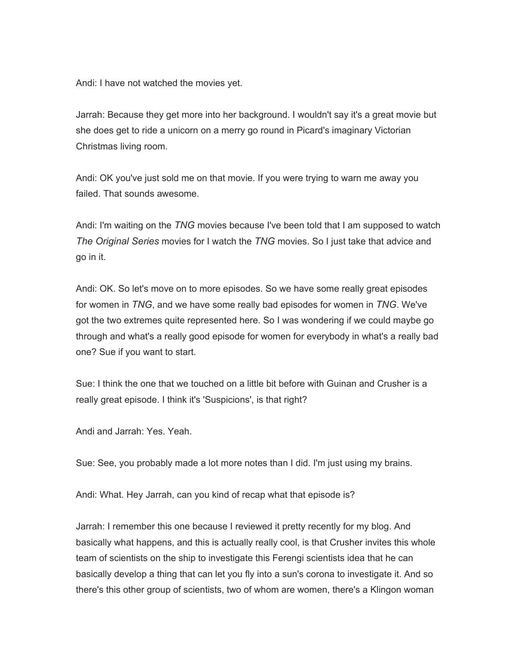Andi: I have not watched the movies yet.

Jarrah: Because they get more into her background. I wouldn't say it's a great movie but she does get to ride a unicorn on a merry go round in Picard's imaginary Victorian Christmas living room.

Andi: OK you've just sold me on that movie. If you were trying to warn me away you failed. That sounds awesome.

Andi: I'm waiting on the *TNG* movies because I've been told that I am supposed to watch *The Original Series* movies for I watch the *TNG* movies. So I just take that advice and go in it.

Andi: OK. So let's move on to more episodes. So we have some really great episodes for women in *TNG*, and we have some really bad episodes for women in *TNG*. We've got the two extremes quite represented here. So I was wondering if we could maybe go through and what's a really good episode for women for everybody in what's a really bad one? Sue if you want to start.

Sue: I think the one that we touched on a little bit before with Guinan and Crusher is a really great episode. I think it's 'Suspicions', is that right?

Andi and Jarrah: Yes. Yeah.

Sue: See, you probably made a lot more notes than I did. I'm just using my brains.

Andi: What. Hey Jarrah, can you kind of recap what that episode is?

Jarrah: I remember this one because I reviewed it pretty recently for my blog. And basically what happens, and this is actually really cool, is that Crusher invites this whole team of scientists on the ship to investigate this Ferengi scientists idea that he can basically develop a thing that can let you fly into a sun's corona to investigate it. And so there's this other group of scientists, two of whom are women, there's a Klingon woman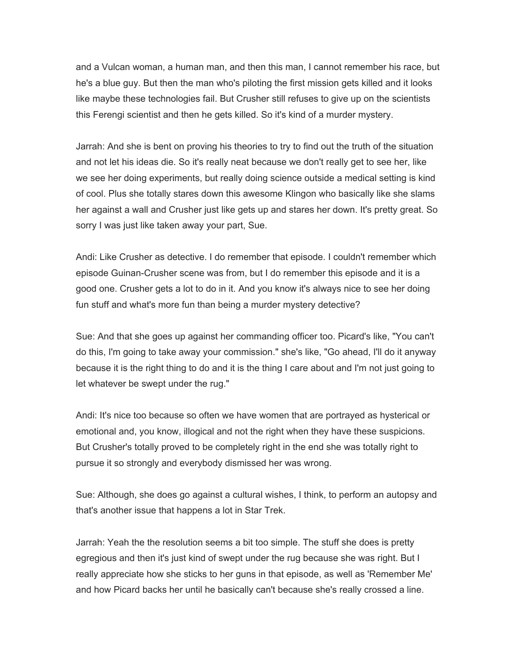and a Vulcan woman, a human man, and then this man, I cannot remember his race, but he's a blue guy. But then the man who's piloting the first mission gets killed and it looks like maybe these technologies fail. But Crusher still refuses to give up on the scientists this Ferengi scientist and then he gets killed. So it's kind of a murder mystery.

Jarrah: And she is bent on proving his theories to try to find out the truth of the situation and not let his ideas die. So it's really neat because we don't really get to see her, like we see her doing experiments, but really doing science outside a medical setting is kind of cool. Plus she totally stares down this awesome Klingon who basically like she slams her against a wall and Crusher just like gets up and stares her down. It's pretty great. So sorry I was just like taken away your part, Sue.

Andi: Like Crusher as detective. I do remember that episode. I couldn't remember which episode Guinan-Crusher scene was from, but I do remember this episode and it is a good one. Crusher gets a lot to do in it. And you know it's always nice to see her doing fun stuff and what's more fun than being a murder mystery detective?

Sue: And that she goes up against her commanding officer too. Picard's like, "You can't do this, I'm going to take away your commission." she's like, "Go ahead, I'll do it anyway because it is the right thing to do and it is the thing I care about and I'm not just going to let whatever be swept under the rug."

Andi: It's nice too because so often we have women that are portrayed as hysterical or emotional and, you know, illogical and not the right when they have these suspicions. But Crusher's totally proved to be completely right in the end she was totally right to pursue it so strongly and everybody dismissed her was wrong.

Sue: Although, she does go against a cultural wishes, I think, to perform an autopsy and that's another issue that happens a lot in Star Trek.

Jarrah: Yeah the the resolution seems a bit too simple. The stuff she does is pretty egregious and then it's just kind of swept under the rug because she was right. But I really appreciate how she sticks to her guns in that episode, as well as 'Remember Me' and how Picard backs her until he basically can't because she's really crossed a line.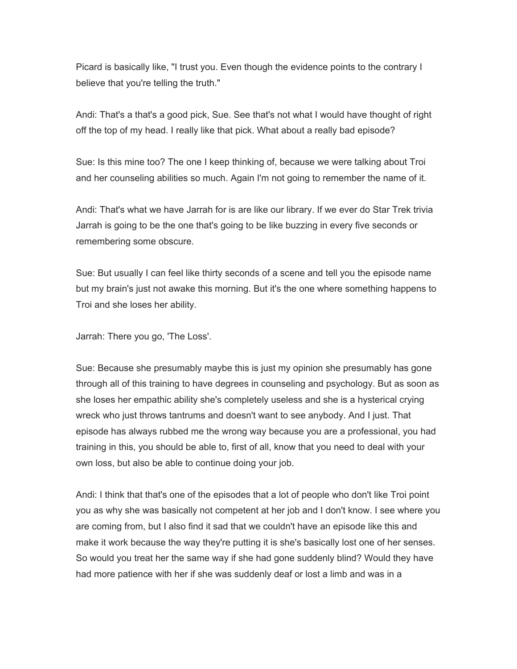Picard is basically like, "I trust you. Even though the evidence points to the contrary I believe that you're telling the truth."

Andi: That's a that's a good pick, Sue. See that's not what I would have thought of right off the top of my head. I really like that pick. What about a really bad episode?

Sue: Is this mine too? The one I keep thinking of, because we were talking about Troi and her counseling abilities so much. Again I'm not going to remember the name of it.

Andi: That's what we have Jarrah for is are like our library. If we ever do Star Trek trivia Jarrah is going to be the one that's going to be like buzzing in every five seconds or remembering some obscure.

Sue: But usually I can feel like thirty seconds of a scene and tell you the episode name but my brain's just not awake this morning. But it's the one where something happens to Troi and she loses her ability.

Jarrah: There you go, 'The Loss'.

Sue: Because she presumably maybe this is just my opinion she presumably has gone through all of this training to have degrees in counseling and psychology. But as soon as she loses her empathic ability she's completely useless and she is a hysterical crying wreck who just throws tantrums and doesn't want to see anybody. And I just. That episode has always rubbed me the wrong way because you are a professional, you had training in this, you should be able to, first of all, know that you need to deal with your own loss, but also be able to continue doing your job.

Andi: I think that that's one of the episodes that a lot of people who don't like Troi point you as why she was basically not competent at her job and I don't know. I see where you are coming from, but I also find it sad that we couldn't have an episode like this and make it work because the way they're putting it is she's basically lost one of her senses. So would you treat her the same way if she had gone suddenly blind? Would they have had more patience with her if she was suddenly deaf or lost a limb and was in a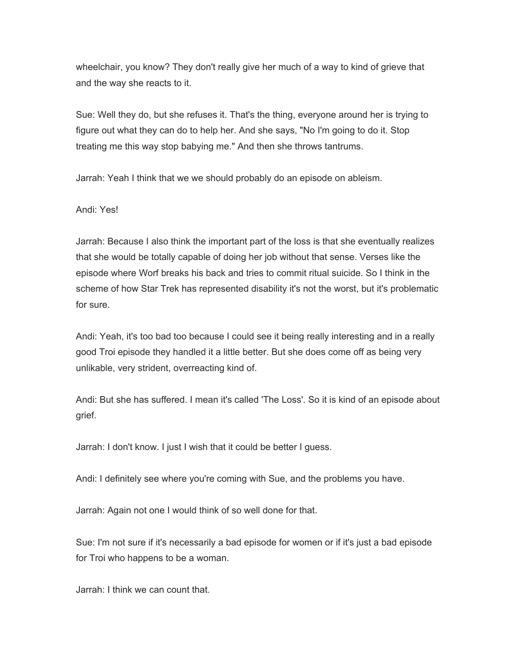wheelchair, you know? They don't really give her much of a way to kind of grieve that and the way she reacts to it.

Sue: Well they do, but she refuses it. That's the thing, everyone around her is trying to figure out what they can do to help her. And she says, "No I'm going to do it. Stop treating me this way stop babying me." And then she throws tantrums.

Jarrah: Yeah I think that we we should probably do an episode on ableism.

Andi: Yes!

Jarrah: Because I also think the important part of the loss is that she eventually realizes that she would be totally capable of doing her job without that sense. Verses like the episode where Worf breaks his back and tries to commit ritual suicide. So I think in the scheme of how Star Trek has represented disability it's not the worst, but it's problematic for sure.

Andi: Yeah, it's too bad too because I could see it being really interesting and in a really good Troi episode they handled it a little better. But she does come off as being very unlikable, very strident, overreacting kind of.

Andi: But she has suffered. I mean it's called 'The Loss'. So it is kind of an episode about grief.

Jarrah: I don't know. I just I wish that it could be better I guess.

Andi: I definitely see where you're coming with Sue, and the problems you have.

Jarrah: Again not one I would think of so well done for that.

Sue: I'm not sure if it's necessarily a bad episode for women or if it's just a bad episode for Troi who happens to be a woman.

Jarrah: I think we can count that.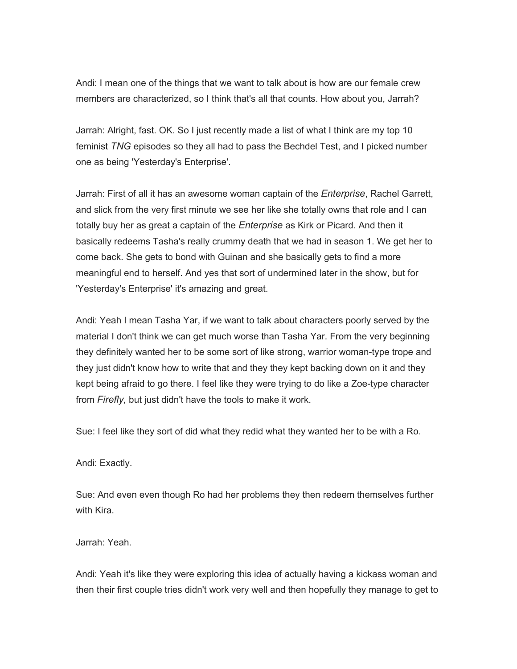Andi: I mean one of the things that we want to talk about is how are our female crew members are characterized, so I think that's all that counts. How about you, Jarrah?

Jarrah: Alright, fast. OK. So I just recently made a list of what I think are my top 10 feminist *TNG* episodes so they all had to pass the Bechdel Test, and I picked number one as being 'Yesterday's Enterprise'.

Jarrah: First of all it has an awesome woman captain of the *Enterprise*, Rachel Garrett, and slick from the very first minute we see her like she totally owns that role and I can totally buy her as great a captain of the *Enterprise* as Kirk or Picard. And then it basically redeems Tasha's really crummy death that we had in season 1. We get her to come back. She gets to bond with Guinan and she basically gets to find a more meaningful end to herself. And yes that sort of undermined later in the show, but for 'Yesterday's Enterprise' it's amazing and great.

Andi: Yeah I mean Tasha Yar, if we want to talk about characters poorly served by the material I don't think we can get much worse than Tasha Yar. From the very beginning they definitely wanted her to be some sort of like strong, warrior woman-type trope and they just didn't know how to write that and they they kept backing down on it and they kept being afraid to go there. I feel like they were trying to do like a Zoe-type character from *Firefly,* but just didn't have the tools to make it work.

Sue: I feel like they sort of did what they redid what they wanted her to be with a Ro.

Andi: Exactly.

Sue: And even even though Ro had her problems they then redeem themselves further with Kira.

Jarrah: Yeah.

Andi: Yeah it's like they were exploring this idea of actually having a kickass woman and then their first couple tries didn't work very well and then hopefully they manage to get to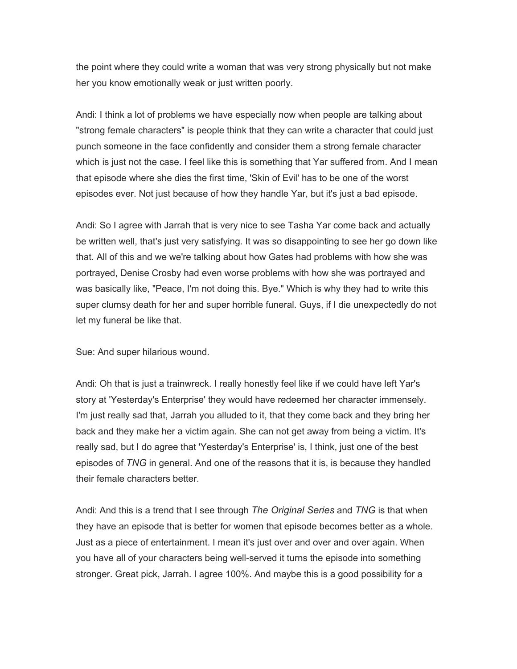the point where they could write a woman that was very strong physically but not make her you know emotionally weak or just written poorly.

Andi: I think a lot of problems we have especially now when people are talking about "strong female characters" is people think that they can write a character that could just punch someone in the face confidently and consider them a strong female character which is just not the case. I feel like this is something that Yar suffered from. And I mean that episode where she dies the first time, 'Skin of Evil' has to be one of the worst episodes ever. Not just because of how they handle Yar, but it's just a bad episode.

Andi: So I agree with Jarrah that is very nice to see Tasha Yar come back and actually be written well, that's just very satisfying. It was so disappointing to see her go down like that. All of this and we we're talking about how Gates had problems with how she was portrayed, Denise Crosby had even worse problems with how she was portrayed and was basically like, "Peace, I'm not doing this. Bye." Which is why they had to write this super clumsy death for her and super horrible funeral. Guys, if I die unexpectedly do not let my funeral be like that.

Sue: And super hilarious wound.

Andi: Oh that is just a trainwreck. I really honestly feel like if we could have left Yar's story at 'Yesterday's Enterprise' they would have redeemed her character immensely. I'm just really sad that, Jarrah you alluded to it, that they come back and they bring her back and they make her a victim again. She can not get away from being a victim. It's really sad, but I do agree that 'Yesterday's Enterprise' is, I think, just one of the best episodes of *TNG* in general. And one of the reasons that it is, is because they handled their female characters better.

Andi: And this is a trend that I see through *The Original Series* and *TNG* is that when they have an episode that is better for women that episode becomes better as a whole. Just as a piece of entertainment. I mean it's just over and over and over again. When you have all of your characters being well-served it turns the episode into something stronger. Great pick, Jarrah. I agree 100%. And maybe this is a good possibility for a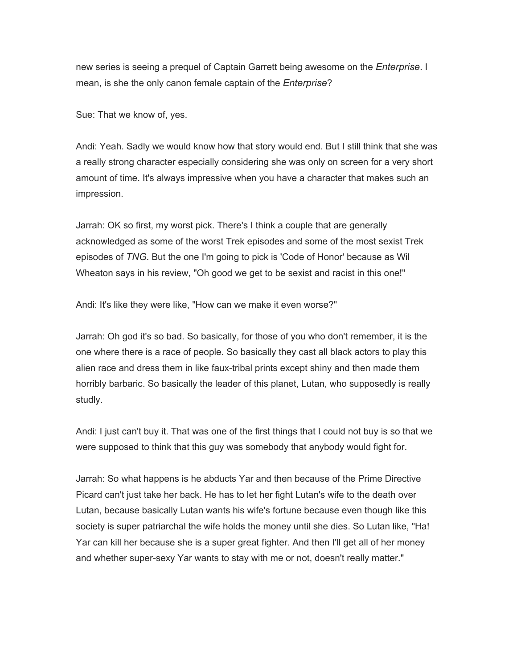new series is seeing a prequel of Captain Garrett being awesome on the *Enterprise*. I mean, is she the only canon female captain of the *Enterprise*?

Sue: That we know of, yes.

Andi: Yeah. Sadly we would know how that story would end. But I still think that she was a really strong character especially considering she was only on screen for a very short amount of time. It's always impressive when you have a character that makes such an impression.

Jarrah: OK so first, my worst pick. There's I think a couple that are generally acknowledged as some of the worst Trek episodes and some of the most sexist Trek episodes of *TNG*. But the one I'm going to pick is 'Code of Honor' because as Wil Wheaton says in his review, "Oh good we get to be sexist and racist in this one!"

Andi: It's like they were like, "How can we make it even worse?"

Jarrah: Oh god it's so bad. So basically, for those of you who don't remember, it is the one where there is a race of people. So basically they cast all black actors to play this alien race and dress them in like faux-tribal prints except shiny and then made them horribly barbaric. So basically the leader of this planet, Lutan, who supposedly is really studly.

Andi: I just can't buy it. That was one of the first things that I could not buy is so that we were supposed to think that this guy was somebody that anybody would fight for.

Jarrah: So what happens is he abducts Yar and then because of the Prime Directive Picard can't just take her back. He has to let her fight Lutan's wife to the death over Lutan, because basically Lutan wants his wife's fortune because even though like this society is super patriarchal the wife holds the money until she dies. So Lutan like, "Ha! Yar can kill her because she is a super great fighter. And then I'll get all of her money and whether super-sexy Yar wants to stay with me or not, doesn't really matter."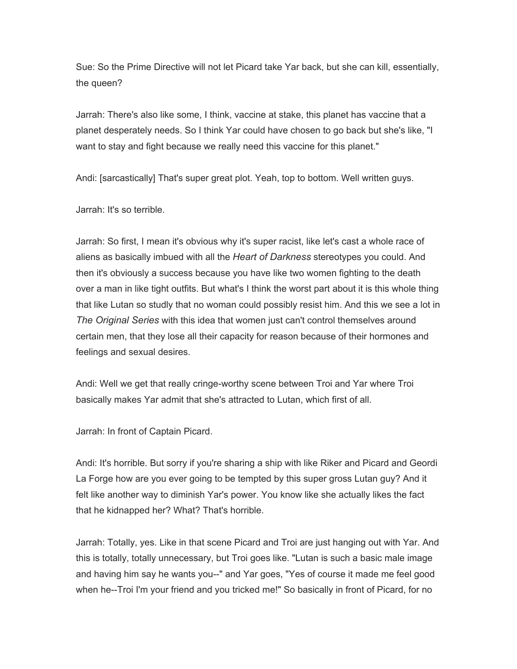Sue: So the Prime Directive will not let Picard take Yar back, but she can kill, essentially, the queen?

Jarrah: There's also like some, I think, vaccine at stake, this planet has vaccine that a planet desperately needs. So I think Yar could have chosen to go back but she's like, "I want to stay and fight because we really need this vaccine for this planet."

Andi: [sarcastically] That's super great plot. Yeah, top to bottom. Well written guys.

Jarrah: It's so terrible.

Jarrah: So first, I mean it's obvious why it's super racist, like let's cast a whole race of aliens as basically imbued with all the *Heart of Darkness* stereotypes you could. And then it's obviously a success because you have like two women fighting to the death over a man in like tight outfits. But what's I think the worst part about it is this whole thing that like Lutan so studly that no woman could possibly resist him. And this we see a lot in *The Original Series* with this idea that women just can't control themselves around certain men, that they lose all their capacity for reason because of their hormones and feelings and sexual desires.

Andi: Well we get that really cringe-worthy scene between Troi and Yar where Troi basically makes Yar admit that she's attracted to Lutan, which first of all.

Jarrah: In front of Captain Picard.

Andi: It's horrible. But sorry if you're sharing a ship with like Riker and Picard and Geordi La Forge how are you ever going to be tempted by this super gross Lutan guy? And it felt like another way to diminish Yar's power. You know like she actually likes the fact that he kidnapped her? What? That's horrible.

Jarrah: Totally, yes. Like in that scene Picard and Troi are just hanging out with Yar. And this is totally, totally unnecessary, but Troi goes like. "Lutan is such a basic male image and having him say he wants you--" and Yar goes, "Yes of course it made me feel good when he--Troi I'm your friend and you tricked me!" So basically in front of Picard, for no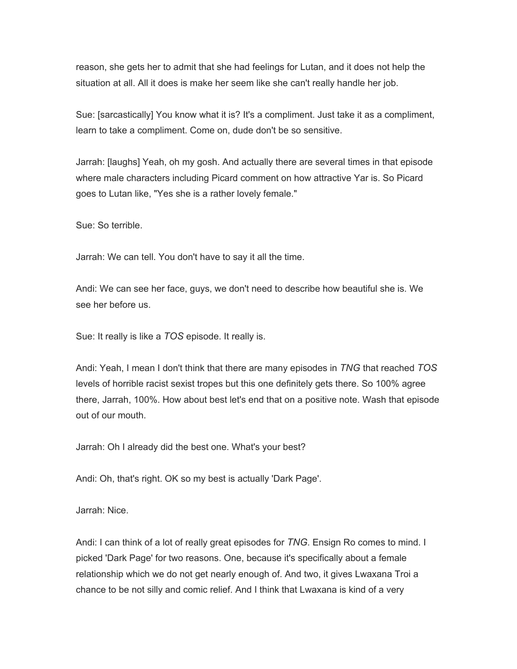reason, she gets her to admit that she had feelings for Lutan, and it does not help the situation at all. All it does is make her seem like she can't really handle her job.

Sue: [sarcastically] You know what it is? It's a compliment. Just take it as a compliment, learn to take a compliment. Come on, dude don't be so sensitive.

Jarrah: [laughs] Yeah, oh my gosh. And actually there are several times in that episode where male characters including Picard comment on how attractive Yar is. So Picard goes to Lutan like, "Yes she is a rather lovely female."

Sue: So terrible.

Jarrah: We can tell. You don't have to say it all the time.

Andi: We can see her face, guys, we don't need to describe how beautiful she is. We see her before us.

Sue: It really is like a *TOS* episode. It really is.

Andi: Yeah, I mean I don't think that there are many episodes in *TNG* that reached *TOS* levels of horrible racist sexist tropes but this one definitely gets there. So 100% agree there, Jarrah, 100%. How about best let's end that on a positive note. Wash that episode out of our mouth.

Jarrah: Oh I already did the best one. What's your best?

Andi: Oh, that's right. OK so my best is actually 'Dark Page'.

Jarrah: Nice.

Andi: I can think of a lot of really great episodes for *TNG*. Ensign Ro comes to mind. I picked 'Dark Page' for two reasons. One, because it's specifically about a female relationship which we do not get nearly enough of. And two, it gives Lwaxana Troi a chance to be not silly and comic relief. And I think that Lwaxana is kind of a very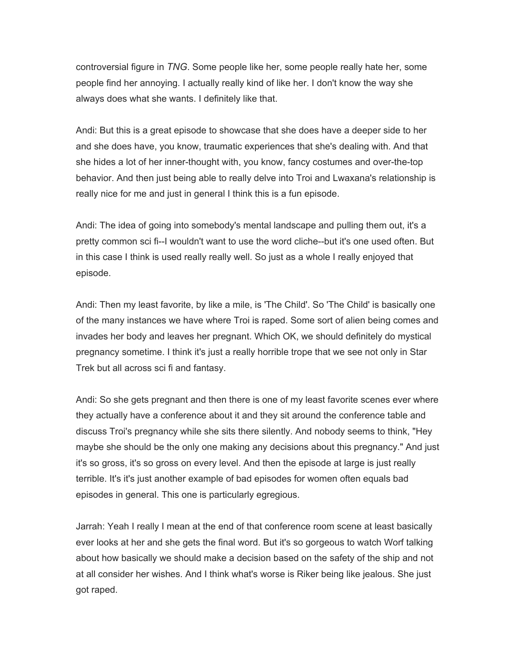controversial figure in *TNG*. Some people like her, some people really hate her, some people find her annoying. I actually really kind of like her. I don't know the way she always does what she wants. I definitely like that.

Andi: But this is a great episode to showcase that she does have a deeper side to her and she does have, you know, traumatic experiences that she's dealing with. And that she hides a lot of her inner-thought with, you know, fancy costumes and over-the-top behavior. And then just being able to really delve into Troi and Lwaxana's relationship is really nice for me and just in general I think this is a fun episode.

Andi: The idea of going into somebody's mental landscape and pulling them out, it's a pretty common sci fi--I wouldn't want to use the word cliche--but it's one used often. But in this case I think is used really really well. So just as a whole I really enjoyed that episode.

Andi: Then my least favorite, by like a mile, is 'The Child'. So 'The Child' is basically one of the many instances we have where Troi is raped. Some sort of alien being comes and invades her body and leaves her pregnant. Which OK, we should definitely do mystical pregnancy sometime. I think it's just a really horrible trope that we see not only in Star Trek but all across sci fi and fantasy.

Andi: So she gets pregnant and then there is one of my least favorite scenes ever where they actually have a conference about it and they sit around the conference table and discuss Troi's pregnancy while she sits there silently. And nobody seems to think, "Hey maybe she should be the only one making any decisions about this pregnancy." And just it's so gross, it's so gross on every level. And then the episode at large is just really terrible. It's it's just another example of bad episodes for women often equals bad episodes in general. This one is particularly egregious.

Jarrah: Yeah I really I mean at the end of that conference room scene at least basically ever looks at her and she gets the final word. But it's so gorgeous to watch Worf talking about how basically we should make a decision based on the safety of the ship and not at all consider her wishes. And I think what's worse is Riker being like jealous. She just got raped.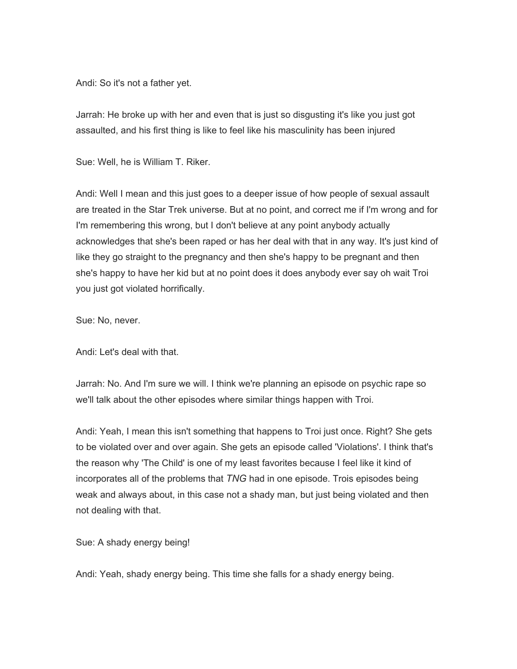Andi: So it's not a father yet.

Jarrah: He broke up with her and even that is just so disgusting it's like you just got assaulted, and his first thing is like to feel like his masculinity has been injured

Sue: Well, he is William T. Riker.

Andi: Well I mean and this just goes to a deeper issue of how people of sexual assault are treated in the Star Trek universe. But at no point, and correct me if I'm wrong and for I'm remembering this wrong, but I don't believe at any point anybody actually acknowledges that she's been raped or has her deal with that in any way. It's just kind of like they go straight to the pregnancy and then she's happy to be pregnant and then she's happy to have her kid but at no point does it does anybody ever say oh wait Troi you just got violated horrifically.

Sue: No, never.

Andi: Let's deal with that.

Jarrah: No. And I'm sure we will. I think we're planning an episode on psychic rape so we'll talk about the other episodes where similar things happen with Troi.

Andi: Yeah, I mean this isn't something that happens to Troi just once. Right? She gets to be violated over and over again. She gets an episode called 'Violations'. I think that's the reason why 'The Child' is one of my least favorites because I feel like it kind of incorporates all of the problems that *TNG* had in one episode. Trois episodes being weak and always about, in this case not a shady man, but just being violated and then not dealing with that.

Sue: A shady energy being!

Andi: Yeah, shady energy being. This time she falls for a shady energy being.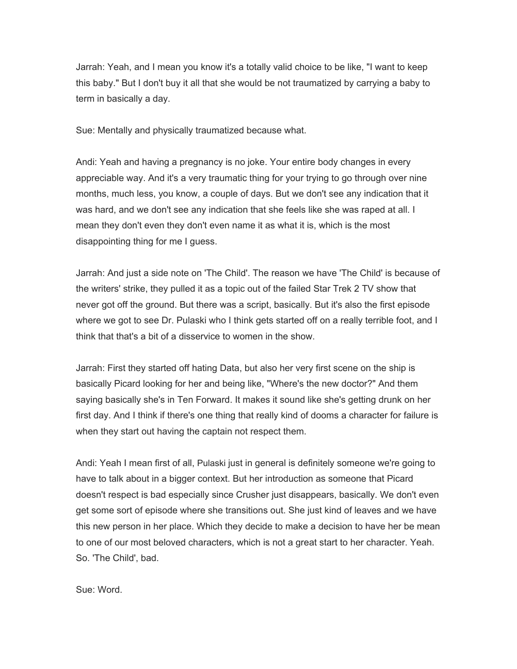Jarrah: Yeah, and I mean you know it's a totally valid choice to be like, "I want to keep this baby." But I don't buy it all that she would be not traumatized by carrying a baby to term in basically a day.

Sue: Mentally and physically traumatized because what.

Andi: Yeah and having a pregnancy is no joke. Your entire body changes in every appreciable way. And it's a very traumatic thing for your trying to go through over nine months, much less, you know, a couple of days. But we don't see any indication that it was hard, and we don't see any indication that she feels like she was raped at all. I mean they don't even they don't even name it as what it is, which is the most disappointing thing for me I guess.

Jarrah: And just a side note on 'The Child'. The reason we have 'The Child' is because of the writers' strike, they pulled it as a topic out of the failed Star Trek 2 TV show that never got off the ground. But there was a script, basically. But it's also the first episode where we got to see Dr. Pulaski who I think gets started off on a really terrible foot, and I think that that's a bit of a disservice to women in the show.

Jarrah: First they started off hating Data, but also her very first scene on the ship is basically Picard looking for her and being like, "Where's the new doctor?" And them saying basically she's in Ten Forward. It makes it sound like she's getting drunk on her first day. And I think if there's one thing that really kind of dooms a character for failure is when they start out having the captain not respect them.

Andi: Yeah I mean first of all, Pulaski just in general is definitely someone we're going to have to talk about in a bigger context. But her introduction as someone that Picard doesn't respect is bad especially since Crusher just disappears, basically. We don't even get some sort of episode where she transitions out. She just kind of leaves and we have this new person in her place. Which they decide to make a decision to have her be mean to one of our most beloved characters, which is not a great start to her character. Yeah. So. 'The Child', bad.

Sue: Word.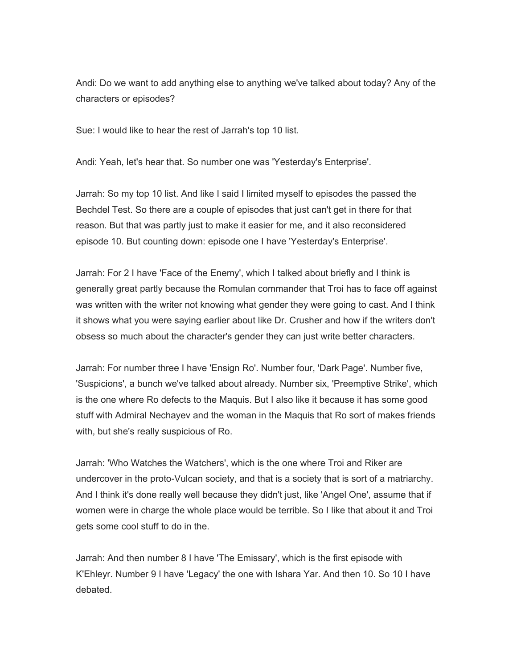Andi: Do we want to add anything else to anything we've talked about today? Any of the characters or episodes?

Sue: I would like to hear the rest of Jarrah's top 10 list.

Andi: Yeah, let's hear that. So number one was 'Yesterday's Enterprise'.

Jarrah: So my top 10 list. And like I said I limited myself to episodes the passed the Bechdel Test. So there are a couple of episodes that just can't get in there for that reason. But that was partly just to make it easier for me, and it also reconsidered episode 10. But counting down: episode one I have 'Yesterday's Enterprise'.

Jarrah: For 2 I have 'Face of the Enemy', which I talked about briefly and I think is generally great partly because the Romulan commander that Troi has to face off against was written with the writer not knowing what gender they were going to cast. And I think it shows what you were saying earlier about like Dr. Crusher and how if the writers don't obsess so much about the character's gender they can just write better characters.

Jarrah: For number three I have 'Ensign Ro'. Number four, 'Dark Page'. Number five, 'Suspicions', a bunch we've talked about already. Number six, 'Preemptive Strike', which is the one where Ro defects to the Maquis. But I also like it because it has some good stuff with Admiral Nechayev and the woman in the Maquis that Ro sort of makes friends with, but she's really suspicious of Ro.

Jarrah: 'Who Watches the Watchers', which is the one where Troi and Riker are undercover in the proto-Vulcan society, and that is a society that is sort of a matriarchy. And I think it's done really well because they didn't just, like 'Angel One', assume that if women were in charge the whole place would be terrible. So I like that about it and Troi gets some cool stuff to do in the.

Jarrah: And then number 8 I have 'The Emissary', which is the first episode with K'Ehleyr. Number 9 I have 'Legacy' the one with Ishara Yar. And then 10. So 10 I have debated.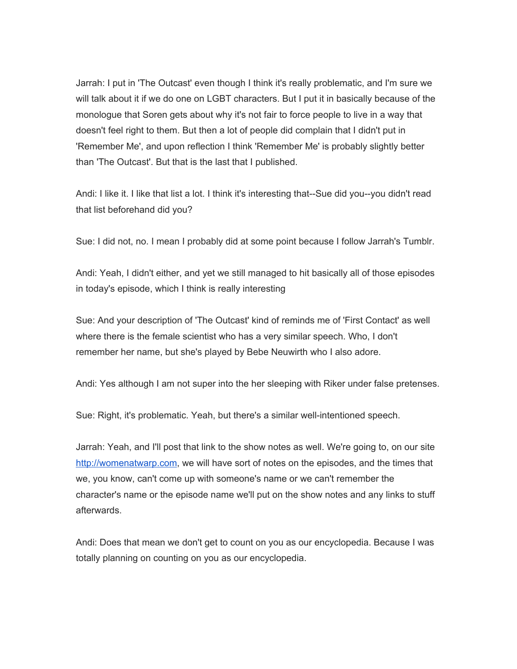Jarrah: I put in 'The Outcast' even though I think it's really problematic, and I'm sure we will talk about it if we do one on LGBT characters. But I put it in basically because of the monologue that Soren gets about why it's not fair to force people to live in a way that doesn't feel right to them. But then a lot of people did complain that I didn't put in 'Remember Me', and upon reflection I think 'Remember Me' is probably slightly better than 'The Outcast'. But that is the last that I published.

Andi: I like it. I like that list a lot. I think it's interesting that--Sue did you--you didn't read that list beforehand did you?

Sue: I did not, no. I mean I probably did at some point because I follow Jarrah's Tumblr.

Andi: Yeah, I didn't either, and yet we still managed to hit basically all of those episodes in today's episode, which I think is really interesting

Sue: And your description of 'The Outcast' kind of reminds me of 'First Contact' as well where there is the female scientist who has a very similar speech. Who, I don't remember her name, but she's played by Bebe Neuwirth who I also adore.

Andi: Yes although I am not super into the her sleeping with Riker under false pretenses.

Sue: Right, it's problematic. Yeah, but there's a similar well-intentioned speech.

Jarrah: Yeah, and I'll post that link to the show notes as well. We're going to, on our site [http://womenatwarp.com,](http://womenatwarp.com/) we will have sort of notes on the episodes, and the times that we, you know, can't come up with someone's name or we can't remember the character's name or the episode name we'll put on the show notes and any links to stuff afterwards.

Andi: Does that mean we don't get to count on you as our encyclopedia. Because I was totally planning on counting on you as our encyclopedia.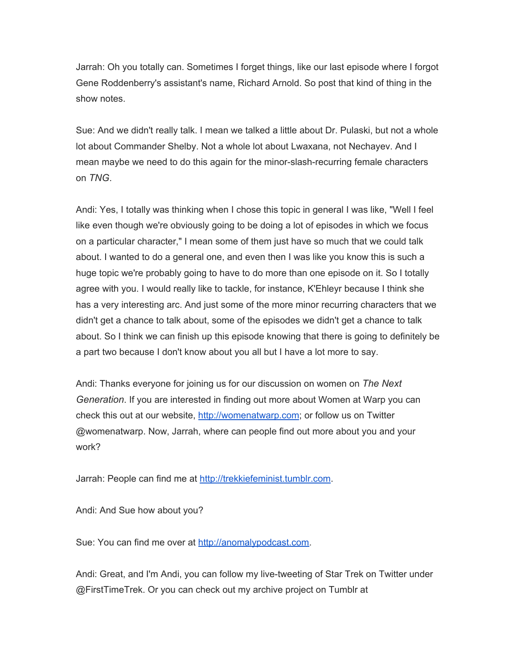Jarrah: Oh you totally can. Sometimes I forget things, like our last episode where I forgot Gene Roddenberry's assistant's name, Richard Arnold. So post that kind of thing in the show notes.

Sue: And we didn't really talk. I mean we talked a little about Dr. Pulaski, but not a whole lot about Commander Shelby. Not a whole lot about Lwaxana, not Nechayev. And I mean maybe we need to do this again for the minor-slash-recurring female characters on *TNG*.

Andi: Yes, I totally was thinking when I chose this topic in general I was like, "Well I feel like even though we're obviously going to be doing a lot of episodes in which we focus on a particular character," I mean some of them just have so much that we could talk about. I wanted to do a general one, and even then I was like you know this is such a huge topic we're probably going to have to do more than one episode on it. So I totally agree with you. I would really like to tackle, for instance, K'Ehleyr because I think she has a very interesting arc. And just some of the more minor recurring characters that we didn't get a chance to talk about, some of the episodes we didn't get a chance to talk about. So I think we can finish up this episode knowing that there is going to definitely be a part two because I don't know about you all but I have a lot more to say.

Andi: Thanks everyone for joining us for our discussion on women on *The Next Generation*. If you are interested in finding out more about Women at Warp you can check this out at our website, [http://womenatwarp.com;](http://womenatwarp.com/) or follow us on Twitter @womenatwarp. Now, Jarrah, where can people find out more about you and your work?

Jarrah: People can find me at [http://trekkiefeminist.tumblr.com.](http://trekkiefeminist.tumblr.com/)

Andi: And Sue how about you?

Sue: You can find me over at [http://anomalypodcast.com.](http://anomalypodcast.com/)

Andi: Great, and I'm Andi, you can follow my live-tweeting of Star Trek on Twitter under @FirstTimeTrek. Or you can check out my archive project on Tumblr at